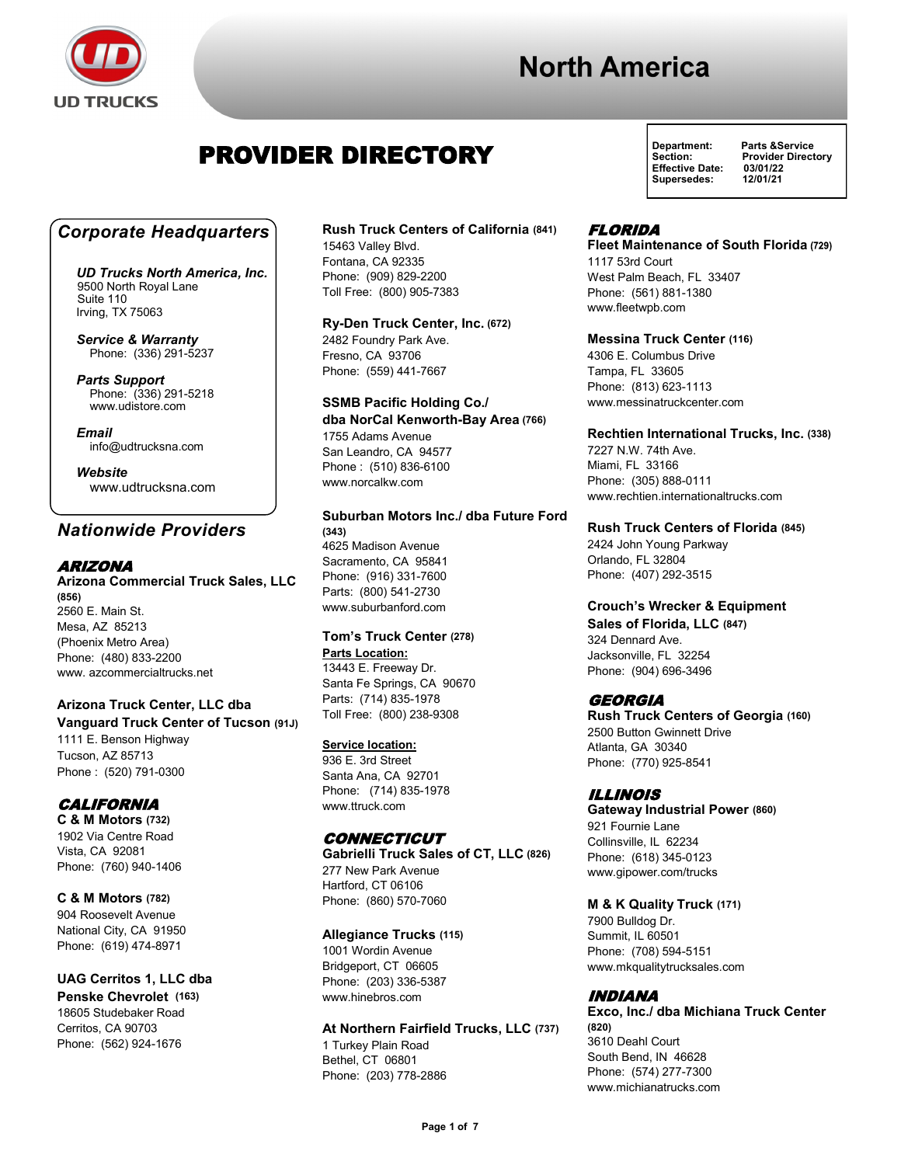

## PROVIDER DIRECTORY

### *Corporate Headquarters*

*UD Trucks North America, Inc.* 9500 North Royal Lane Suite 110 Irving, TX 75063

*Service & Warranty* Phone: (336) 291-5237

*Parts Support*  Phone: (336) 291-5218 www.udistore.com

*Email* info@udtrucksna.com

*Website* www.udtrucksna.com

### *Nationwide Providers*

#### ARIZONA

**Arizona Commercial Truck Sales, LLC (856)** 2560 E. Main St. Mesa, AZ 85213 (Phoenix Metro Area) Phone: (480) 833-2200 www. azcommercialtrucks.net

#### **Arizona Truck Center, LLC dba Vanguard Truck Center of Tucson (91J)**

1111 E. Benson Highway Tucson, AZ 85713 Phone : (520) 791-0300

#### **CALIFORNIA**

**C & M Motors (732)** 1902 Via Centre Road Vista, CA 92081 Phone: (760) 940-1406

**C & M Motors (782)** 904 Roosevelt Avenue National City, CA 91950 Phone: (619) 474-8971

**UAG Cerritos 1, LLC dba Penske Chevrolet (163)** 18605 Studebaker Road Cerritos, CA 90703 Phone: (562) 924-1676

#### **Rush Truck Centers of California (841)**

15463 Valley Blvd. Fontana, CA 92335 Phone: (909) 829-2200 Toll Free: (800) 905-7383

#### **Ry-Den Truck Center, Inc. (672)**

2482 Foundry Park Ave. Fresno, CA 93706 Phone: (559) 441-7667

**SSMB Pacific Holding Co./ dba NorCal Kenworth-Bay Area (766)** 1755 Adams Avenue San Leandro, CA 94577 Phone : (510) 836-6100 www.norcalkw.com

#### **Suburban Motors Inc./ dba Future Ford (343)** 4625 Madison Avenue Sacramento, CA 95841

Phone: (916) 331-7600 Parts: (800) 541-2730 www.suburbanford.com

#### **Tom's Truck Center (278) Parts Location:**

13443 E. Freeway Dr. Santa Fe Springs, CA 90670 Parts: (714) 835-1978 Toll Free: (800) 238-9308

#### **Service location:**

936 E. 3rd Street Santa Ana, CA 92701 Phone: (714) 835-1978 www.ttruck.com

#### CONNECTICUT

**Gabrielli Truck Sales of CT, LLC (826)** 277 New Park Avenue Hartford, CT 06106 Phone: (860) 570-7060

#### **Allegiance Trucks (115)**

1001 Wordin Avenue Bridgeport, CT 06605 Phone: (203) 336-5387 www.hinebros.com

**At Northern Fairfield Trucks, LLC (737)** 1 Turkey Plain Road Bethel, CT 06801 Phone: (203) 778-2886

**Effective Date: 03/01/22** Supersedes:

**Department: Parts &Service** Section: **Provider Directory**<br>Effective Date: 03/01/22

#### FLORIDA

**Fleet Maintenance of South Florida** 1117 53rd Court West Palm Beach, FL 33407 Phone: (561) 881-1380 www.fleetwpb.com

#### **Messina Truck Center (116)**

4306 E. Columbus Drive Tampa, FL 33605 Phone: (813) 623-1113 www.messinatruckcenter.com

#### **Rechtien International Trucks, Inc. (338)**

7227 N.W. 74th Ave. Miami, FL 33166 Phone: (305) 888-0111 www.rechtien.internationaltrucks.com

#### **Rush Truck Centers of Florida (845)**

2424 John Young Parkway Orlando, FL 32804 Phone: (407) 292-3515

#### **Crouch's Wrecker & Equipment**

**Sales of Florida, LLC (847)**  324 Dennard Ave. Jacksonville, FL 32254 Phone: (904) 696-3496

#### GEORGIA

**Rush Truck Centers of Georgia (160)** 2500 Button Gwinnett Drive Atlanta, GA 30340 Phone: (770) 925-8541

#### ILLINOIS

**Gateway Industrial Power (860)** 921 Fournie Lane Collinsville, IL 62234 Phone: (618) 345-0123 www.gipower.com/trucks

#### **M & K Quality Truck (171)**

7900 Bulldog Dr. Summit, IL 60501 Phone: (708) 594-5151 www.mkqualitytrucksales.com

#### INDIANA

**Exco, Inc./ dba Michiana Truck Center (820)** 3610 Deahl Court South Bend, IN 46628 Phone: (574) 277-7300 www.michianatrucks.com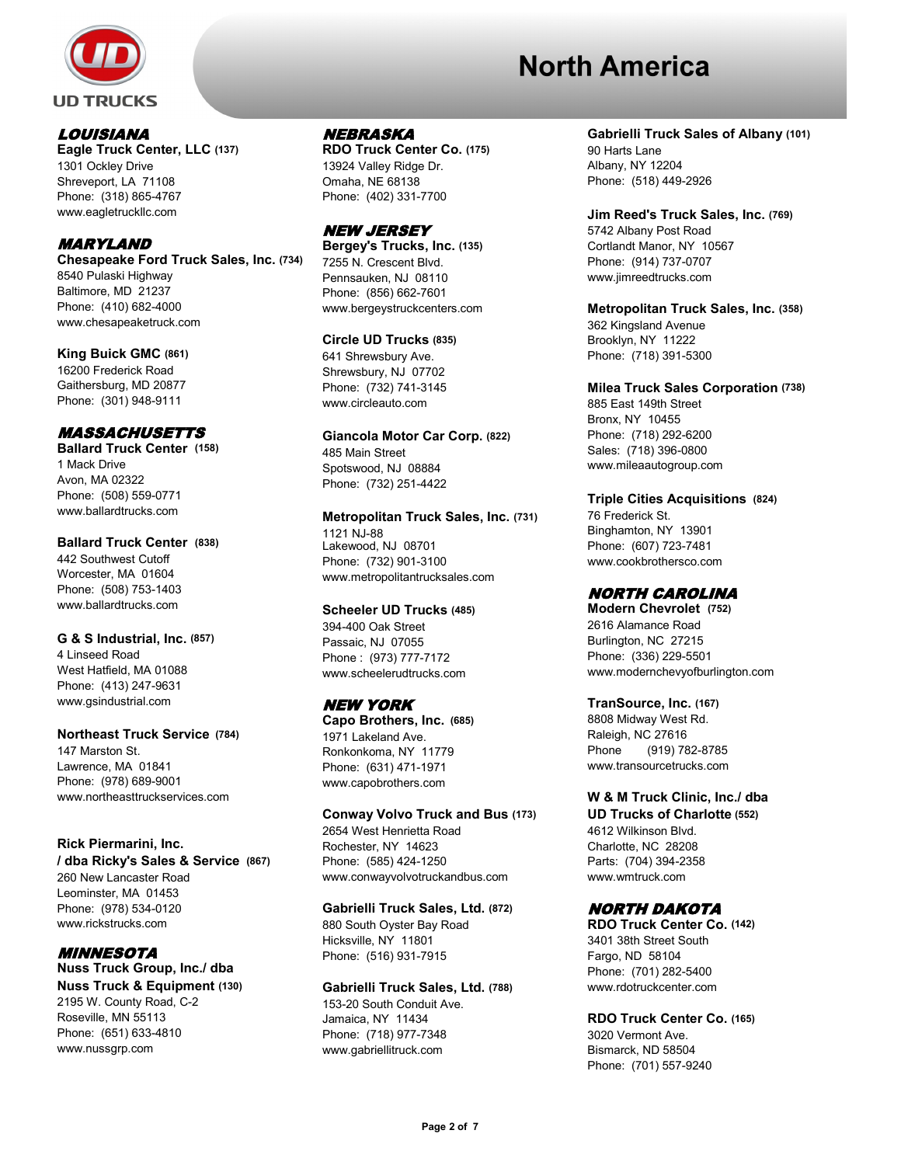

#### LOUISIANA

**Eagle Truck Center, LLC (137)** 1301 Ockley Drive Shreveport, LA 71108 Phone: (318) 865-4767 www.eagletruckllc.com

#### MARYLAND

**Chesapeake Ford Truck Sales, Inc. (734)** 8540 Pulaski Highway Baltimore, MD 21237 Phone: (410) 682-4000 www.chesapeaketruck.com

**King Buick GMC (861)** 16200 Frederick Road Gaithersburg, MD 20877 Phone: (301) 948-9111

#### MASSACHUSETTS

**Ballard Truck Center (158)** 1 Mack Drive Avon, MA 02322 Phone: (508) 559-0771 www.ballardtrucks.com

#### **Ballard Truck Center (838)**

442 Southwest Cutoff Worcester, MA 01604 Phone: (508) 753-1403 www.ballardtrucks.com

#### **G & S Industrial, Inc. (857)**

4 Linseed Road West Hatfield, MA 01088 Phone: (413) 247-9631 www.gsindustrial.com

#### **Northeast Truck Service (784)**

147 Marston St. Lawrence, MA 01841 Phone: (978) 689-9001 www.northeasttruckservices.com

#### **Rick Piermarini, Inc.**

**/ dba Ricky's Sales & Service (867)**  260 New Lancaster Road Leominster, MA 01453 Phone: (978) 534-0120 www.rickstrucks.com

 MINNESOTA **Nuss Truck Group, Inc./ dba Nuss Truck & Equipment (130)**

2195 W. County Road, C-2 Roseville, MN 55113 Phone: (651) 633-4810 www.nussgrp.com

#### NEBRASKA

**RDO Truck Center Co. (175)** 13924 Valley Ridge Dr. Omaha, NE 68138 Phone: (402) 331-7700

#### NEW JERSEY

**Bergey's Trucks, Inc. (135)** 7255 N. Crescent Blvd. Pennsauken, NJ 08110 Phone: (856) 662-7601 www.bergeystruckcenters.com

#### **Circle UD Trucks (835)**

641 Shrewsbury Ave. Shrewsbury, NJ 07702 Phone: (732) 741-3145 www.circleauto.com

#### **Giancola Motor Car Corp. (822)**

485 Main Street Spotswood, NJ 08884 Phone: (732) 251-4422

#### **Metropolitan Truck Sales, Inc. (731)** 1121 NJ-88

Lakewood, NJ 08701 Phone: (732) 901-3100 www.metropolitantrucksales.com

#### **Scheeler UD Trucks (485)**

394-400 Oak Street Passaic, NJ 07055 Phone : (973) 777-7172 www.scheelerudtrucks.com

### NEW YORK

**Capo Brothers, Inc. (685)** 1971 Lakeland Ave. Ronkonkoma, NY 11779 Phone: (631) 471-1971 www.capobrothers.com

#### **Conway Volvo Truck and Bus (173)**

2654 West Henrietta Road Rochester, NY 14623 Phone: (585) 424-1250 www.conwayvolvotruckandbus.com

#### **Gabrielli Truck Sales, Ltd. (872)**

880 South Oyster Bay Road Hicksville, NY 11801 Phone: (516) 931-7915

#### **Gabrielli Truck Sales, Ltd. (788)**

153-20 South Conduit Ave. Jamaica, NY 11434 Phone: (718) 977-7348 www.gabriellitruck.com

#### **Gabrielli Truck Sales of Albany (101)**

90 Harts Lane Albany, NY 12204 Phone: (518) 449-2926

**Jim Reed's Truck Sales, Inc. (769)** 5742 Albany Post Road Cortlandt Manor, NY 10567 Phone: (914) 737-0707 www.jimreedtrucks.com

**Metropolitan Truck Sales, Inc. (358)** 362 Kingsland Avenue Brooklyn, NY 11222 Phone: (718) 391-5300

## **Milea Truck Sales Corporation (738)**

885 East 149th Street Bronx, NY 10455 Phone: (718) 292-6200 Sales: (718) 396-0800 www.mileaautogroup.com

#### **Triple Cities Acquisitions (824)**

76 Frederick St. Binghamton, NY 13901 Phone: (607) 723-7481 www.cookbrothersco.com

#### NORTH CAROLINA

**Modern Chevrolet (752)** 2616 Alamance Road Burlington, NC 27215 Phone: (336) 229-5501 www.modernchevyofburlington.com

#### **TranSource, Inc. (167)**

8808 Midway West Rd. Raleigh, NC 27616 Phone (919) 782-8785 www.transourcetrucks.com

#### **W & M Truck Clinic, Inc./ dba**

**UD Trucks of Charlotte (552)** 4612 Wilkinson Blvd. Charlotte, NC 28208 Parts: (704) 394-2358 www.wmtruck.com

#### NORTH DAKOTA

**RDO Truck Center Co. (142)** 3401 38th Street South Fargo, ND 58104 Phone: (701) 282-5400 www.rdotruckcenter.com

#### **RDO Truck Center Co. (165)**

3020 Vermont Ave. Bismarck, ND 58504 Phone: (701) 557-9240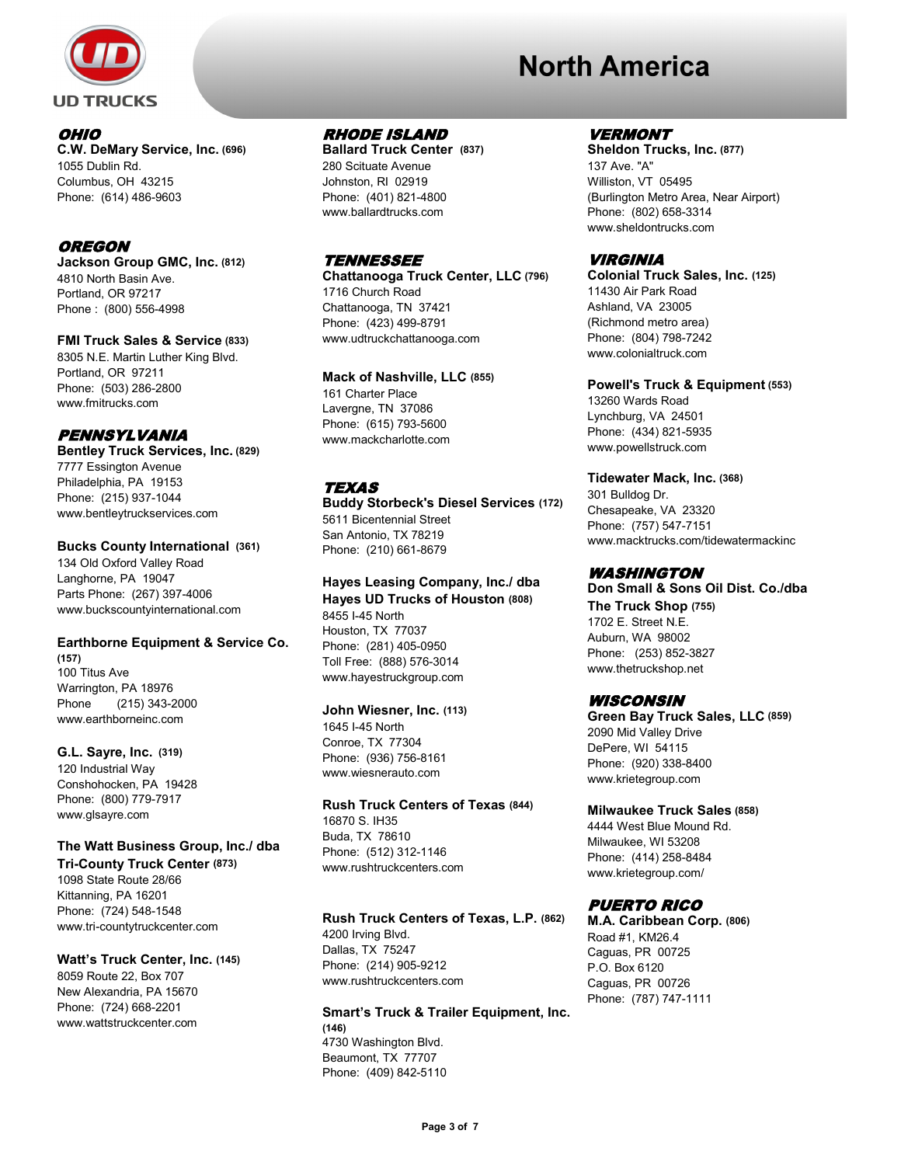

# OHIO

**C.W. DeMary Service, Inc. (696)** 1055 Dublin Rd. Columbus, OH 43215 Phone: (614) 486-9603

#### OREGON

**Jackson Group GMC, Inc. (812)** 4810 North Basin Ave. Portland, OR 97217 Phone : (800) 556-4998

**FMI Truck Sales & Service (833)** 8305 N.E. Martin Luther King Blvd. Portland, OR 97211 Phone: (503) 286-2800 www.fmitrucks.com

#### PENNSYLVANIA

**Bentley Truck Services, Inc. (829)** 7777 Essington Avenue Philadelphia, PA 19153 Phone: (215) 937-1044 www.bentleytruckservices.com

#### **Bucks County International (361)**

134 Old Oxford Valley Road Langhorne, PA 19047 Parts Phone: (267) 397-4006 www.buckscountyinternational.com

#### **Earthborne Equipment & Service Co.**

**(157)** 100 Titus Ave Warrington, PA 18976 Phone (215) 343-2000 www.earthborneinc.com

**G.L. Sayre, Inc. (319)** 120 Industrial Way Conshohocken, PA 19428 Phone: (800) 779-7917 www.glsayre.com

#### **The Watt Business Group, Inc./ dba Tri-County Truck Center (873)**

1098 State Route 28/66 Kittanning, PA 16201 Phone: (724) 548-1548 www.tri-countytruckcenter.com

#### **Watt's Truck Center, Inc. (145)**

8059 Route 22, Box 707 New Alexandria, PA 15670 Phone: (724) 668-2201 www.wattstruckcenter.com

#### RHODE ISLAND

**Ballard Truck Center (837)** 280 Scituate Avenue Johnston, RI 02919 Phone: (401) 821-4800 www.ballardtrucks.com

#### **TENNESSEE**

**Chattanooga Truck Center, LLC (796)** 1716 Church Road Chattanooga, TN 37421 Phone: (423) 499-8791 www.udtruckchattanooga.com

#### **Mack of Nashville, LLC (855)**

161 Charter Place Lavergne, TN 37086 Phone: (615) 793-5600 www.mackcharlotte.com

#### **TEXAS**

**Buddy Storbeck's Diesel Services (172)** 5611 Bicentennial Street San Antonio, TX 78219 Phone: (210) 661-8679

## **Hayes Leasing Company, Inc./ dba**

**Hayes UD Trucks of Houston (808)** 8455 I-45 North Houston, TX 77037 Phone: (281) 405-0950 Toll Free: (888) 576-3014 www.hayestruckgroup.com

#### **John Wiesner, Inc. (113)**

1645 I-45 North Conroe, TX 77304 Phone: (936) 756-8161 www.wiesnerauto.com

### **Rush Truck Centers of Texas (844)**

16870 S. IH35 Buda, TX 78610 Phone: (512) 312-1146 www.rushtruckcenters.com

#### **Rush Truck Centers of Texas, L.P. (862)**

4200 Irving Blvd. Dallas, TX 75247 Phone: (214) 905-9212 www.rushtruckcenters.com

#### **Smart's Truck & Trailer Equipment, Inc. (146)** 4730 Washington Blvd. Beaumont, TX 77707

Phone: (409) 842-5110

# **North America**

#### VERMONT

**Sheldon Trucks, Inc. (877)** 137 Ave. "A" Williston, VT 05495 (Burlington Metro Area, Near Airport) Phone: (802) 658-3314 www.sheldontrucks.com

#### VIRGINIA

**Colonial Truck Sales, Inc. (125)** 11430 Air Park Road Ashland, VA 23005 (Richmond metro area) Phone: (804) 798-7242 www.colonialtruck.com

#### **Powell's Truck & Equipment (553)**

13260 Wards Road Lynchburg, VA 24501 Phone: (434) 821-5935 www.powellstruck.com

#### **Tidewater Mack, Inc. (368)**

301 Bulldog Dr. Chesapeake, VA 23320 Phone: (757) 547-7151 www.macktrucks.com/tidewatermackinc

#### WASHINGTON

**Don Small & Sons Oil Dist. Co./dba The Truck Shop (755)** 1702 E. Street N.E. Auburn, WA 98002 Phone: (253) 852-3827 www.thetruckshop.net

#### **WISCONSIN**

**Green Bay Truck Sales, LLC (859)** 2090 Mid Valley Drive DePere, WI 54115 Phone: (920) 338-8400 www.krietegroup.com

#### **Milwaukee Truck Sales (858)**

4444 West Blue Mound Rd. Milwaukee, WI 53208 Phone: (414) 258-8484 www.krietegroup.com/

#### PUERTO RICO

**M.A. Caribbean Corp. (806)** Road #1, KM26.4 Caguas, PR 00725 P.O. Box 6120 Caguas, PR 00726 Phone: (787) 747-1111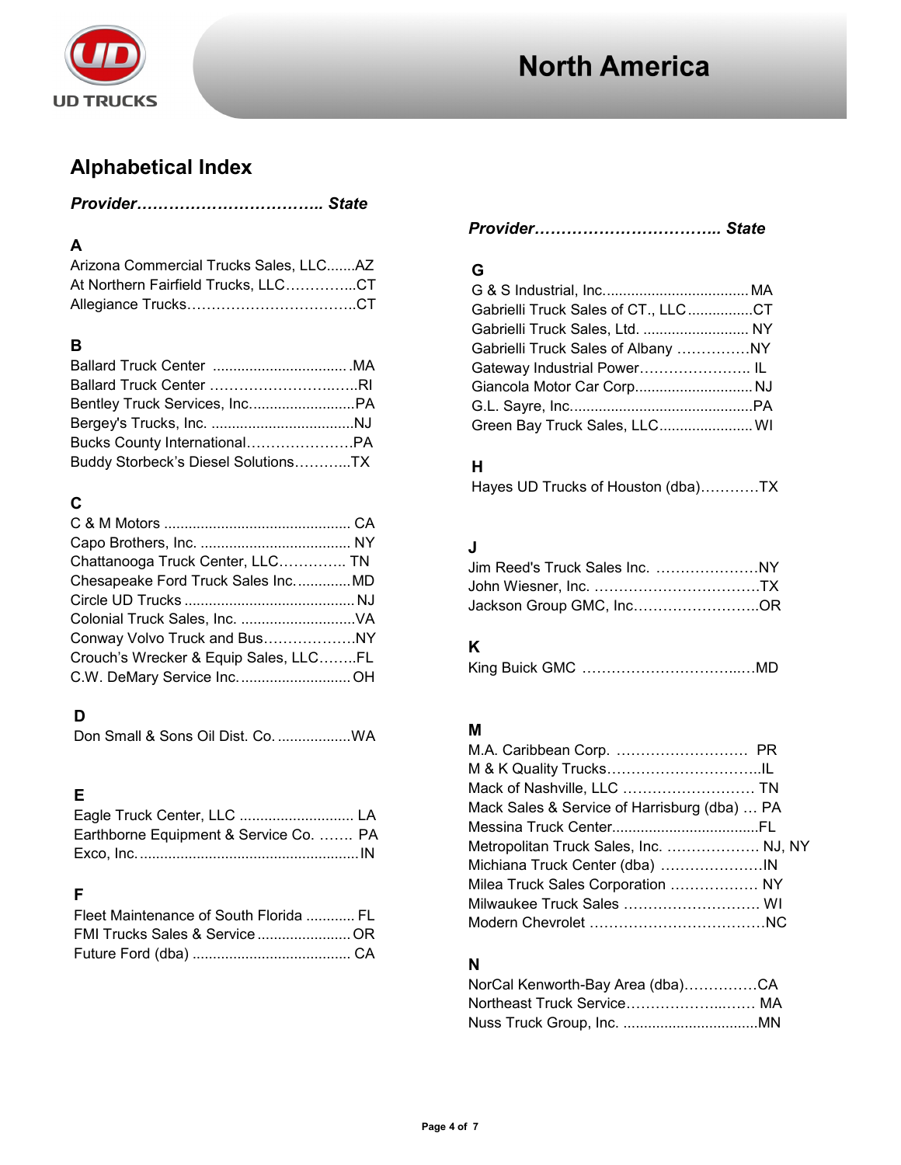

## **Alphabetical Index**

## **A**

| Arizona Commercial Trucks Sales, LLCAZ |  |
|----------------------------------------|--|
| At Northern Fairfield Trucks, LLCCT    |  |
|                                        |  |

## **B**

| Buddy Storbeck's Diesel SolutionsTX |  |
|-------------------------------------|--|

## **C**

| Chattanooga Truck Center, LLC TN      |  |
|---------------------------------------|--|
| Chesapeake Ford Truck Sales Inc MD    |  |
|                                       |  |
|                                       |  |
| Conway Volvo Truck and BusNY          |  |
| Crouch's Wrecker & Equip Sales, LLCFL |  |
|                                       |  |

## **D**

Don Small & Sons Oil Dist. Co. ..................WA

## **E**

| Earthborne Equipment & Service Co.  PA |  |
|----------------------------------------|--|
|                                        |  |

## **F**

| Fleet Maintenance of South Florida  FL |  |
|----------------------------------------|--|
| FMI Trucks Sales & ServiceOR           |  |
|                                        |  |

## **G**

| Gabrielli Truck Sales of CT., LLCCT |  |
|-------------------------------------|--|
| Gabrielli Truck Sales, Ltd.  NY     |  |
|                                     |  |
| Gateway Industrial Power IL         |  |
| Giancola Motor Car CorpNJ           |  |
|                                     |  |
| Green Bay Truck Sales, LLC WI       |  |

## **H**

| Hayes UD Trucks of Houston (dba)TX |  |  |
|------------------------------------|--|--|
|------------------------------------|--|--|

## **J**

| Jackson Group GMC, IncOR |  |
|--------------------------|--|

## **K**

|--|--|

## **M**

| Mack of Nashville, LLC  TN                   |  |
|----------------------------------------------|--|
| Mack Sales & Service of Harrisburg (dba)  PA |  |
|                                              |  |
| Metropolitan Truck Sales, Inc.  NJ, NY       |  |
|                                              |  |
| Milea Truck Sales Corporation  NY            |  |
| Milwaukee Truck Sales  WI                    |  |
|                                              |  |

## **N**

| NorCal Kenworth-Bay Area (dba)CA |  |
|----------------------------------|--|
|                                  |  |
|                                  |  |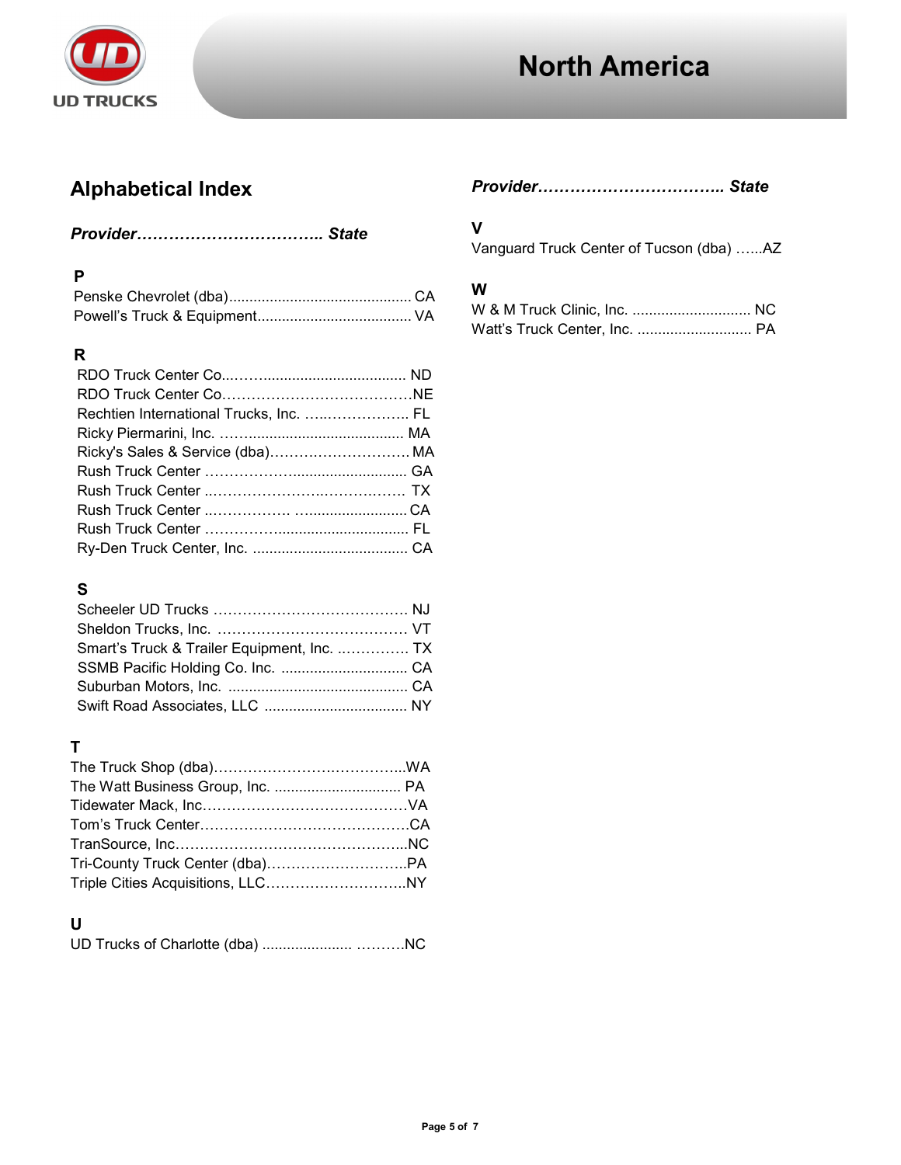

## **Alphabetical Index**

## *Provider…………………………….. State*

## **P**

### **R**

| Rechtien International Trucks, Inc.  FL |  |
|-----------------------------------------|--|
|                                         |  |
|                                         |  |
|                                         |  |
|                                         |  |
|                                         |  |
|                                         |  |
|                                         |  |

## **S**

| Smart's Truck & Trailer Equipment, Inc.  TX |  |
|---------------------------------------------|--|
|                                             |  |
|                                             |  |
|                                             |  |

## **T**

## **U**

|--|--|--|

## *Provider…………………………….. State*

## **V**

Vanguard Truck Center of Tucson (dba) …...AZ

## **W**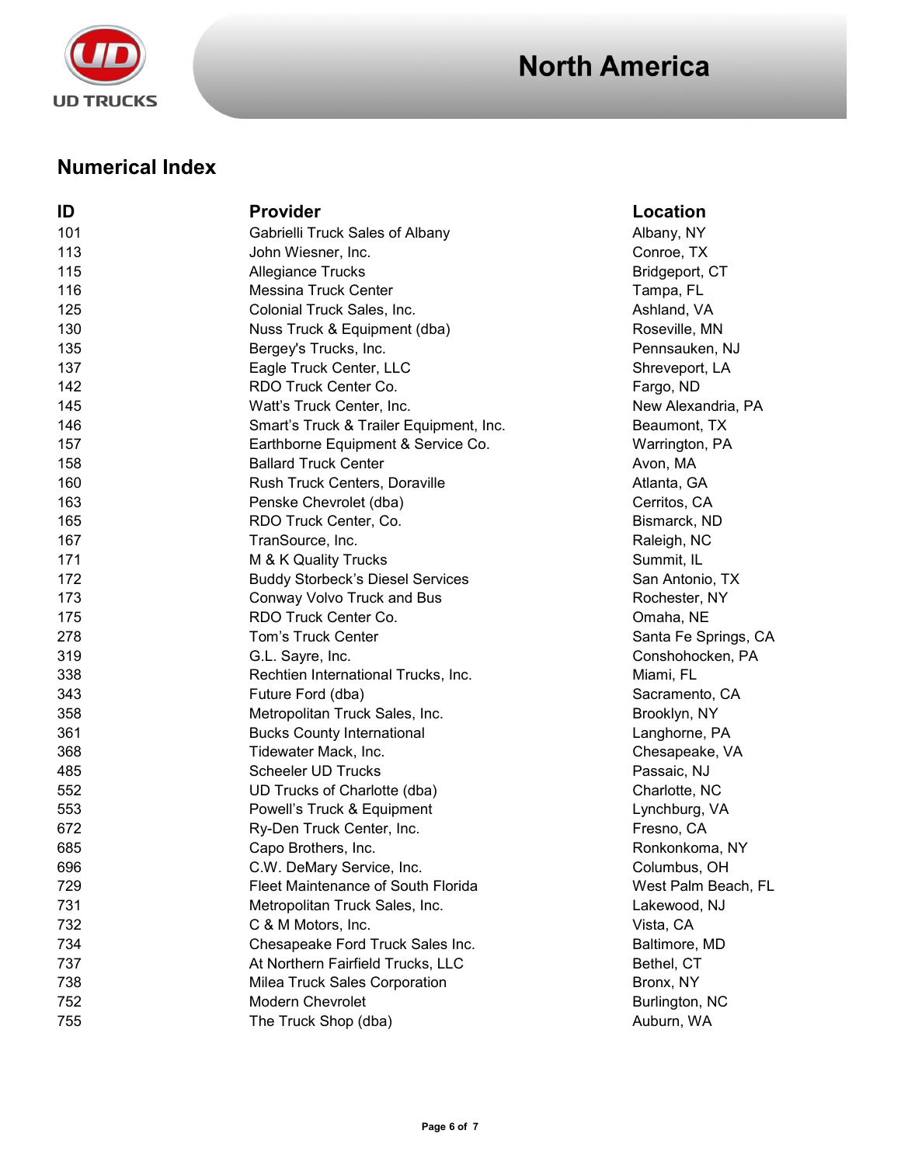

## **Numerical Index**

| ID  | <b>Provider</b>                         | Location             |
|-----|-----------------------------------------|----------------------|
| 101 | Gabrielli Truck Sales of Albany         | Albany, NY           |
| 113 | John Wiesner, Inc.                      | Conroe, TX           |
| 115 | <b>Allegiance Trucks</b>                | Bridgeport, CT       |
| 116 | <b>Messina Truck Center</b>             | Tampa, FL            |
| 125 | Colonial Truck Sales, Inc.              | Ashland, VA          |
| 130 | Nuss Truck & Equipment (dba)            | Roseville, MN        |
| 135 | Bergey's Trucks, Inc.                   | Pennsauken, NJ       |
| 137 | Eagle Truck Center, LLC                 | Shreveport, LA       |
| 142 | RDO Truck Center Co.                    | Fargo, ND            |
| 145 | Watt's Truck Center, Inc.               | New Alexandria, PA   |
| 146 | Smart's Truck & Trailer Equipment, Inc. | Beaumont, TX         |
| 157 | Earthborne Equipment & Service Co.      | Warrington, PA       |
| 158 | <b>Ballard Truck Center</b>             | Avon, MA             |
| 160 | Rush Truck Centers, Doraville           | Atlanta, GA          |
| 163 | Penske Chevrolet (dba)                  | Cerritos, CA         |
| 165 | RDO Truck Center, Co.                   | Bismarck, ND         |
| 167 | TranSource, Inc.                        | Raleigh, NC          |
| 171 | M & K Quality Trucks                    | Summit, IL           |
| 172 | <b>Buddy Storbeck's Diesel Services</b> | San Antonio, TX      |
| 173 | Conway Volvo Truck and Bus              | Rochester, NY        |
| 175 | RDO Truck Center Co.                    | Omaha, NE            |
| 278 | <b>Tom's Truck Center</b>               | Santa Fe Springs, CA |
| 319 | G.L. Sayre, Inc.                        | Conshohocken, PA     |
| 338 | Rechtien International Trucks, Inc.     | Miami, FL            |
| 343 | Future Ford (dba)                       | Sacramento, CA       |
| 358 | Metropolitan Truck Sales, Inc.          | Brooklyn, NY         |
| 361 | <b>Bucks County International</b>       | Langhorne, PA        |
| 368 | Tidewater Mack, Inc.                    | Chesapeake, VA       |
| 485 | <b>Scheeler UD Trucks</b>               | Passaic, NJ          |
| 552 | UD Trucks of Charlotte (dba)            | Charlotte, NC        |
| 553 | Powell's Truck & Equipment              | Lynchburg, VA        |
| 672 | Ry-Den Truck Center, Inc.               | Fresno, CA           |
| 685 | Capo Brothers, Inc.                     | Ronkonkoma, NY       |
| 696 | C.W. DeMary Service, Inc.               | Columbus, OH         |
| 729 | Fleet Maintenance of South Florida      | West Palm Beach, FL  |
| 731 | Metropolitan Truck Sales, Inc.          | Lakewood, NJ         |
| 732 | C & M Motors, Inc.                      | Vista, CA            |
| 734 | Chesapeake Ford Truck Sales Inc.        | Baltimore, MD        |
| 737 | At Northern Fairfield Trucks, LLC       | Bethel, CT           |
| 738 | Milea Truck Sales Corporation           | Bronx, NY            |
| 752 | Modern Chevrolet                        | Burlington, NC       |
| 755 | The Truck Shop (dba)                    | Auburn, WA           |